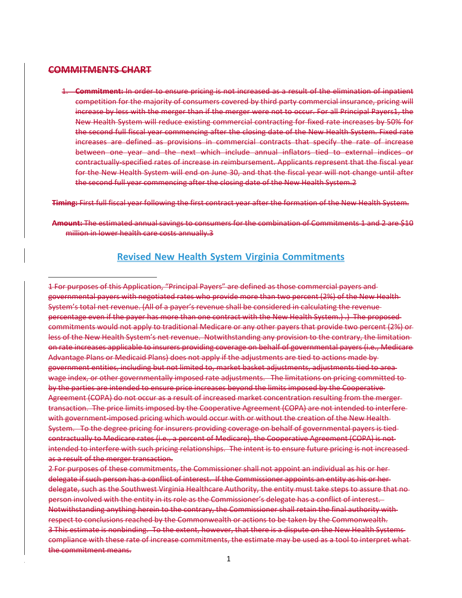#### **COMMITMENTS CHART**

1. **Commitment:** In order to ensure pricing is not increased as a result of the elimination of inpatient competition for the majority of consumers covered by third party commercial insurance, pricing will increase by less with the merger than if the merger were not to occur. For all Principal Payers1, the New Health System will reduce existing commercial contracting for fixed rate increases by 50% for the second full fiscal year commencing after the closing date of the New Health System. Fixed rate increases are defined as provisions in commercial contracts that specify the rate of increase between one year and the next which include annual inflators tied to external indices or contractually‐specified rates of increase in reimbursement. Applicants represent that the fiscal year for the New Health System will end on June 30, and that the fiscal year will not change until after the second full year commencing after the closing date of the New Health System.2

**Timing:** First full fiscal year following the first contract year after the formation of the New Health System.

**Amount:** The estimated annual savings to consumers for the combination of Commitments 1 and 2 are \$10 million in lower health care costs annually.3

## **Revised New Health System Virginia Commitments**

1 For purposes of this Application, "Principal Payers" are defined as those commercial payers and governmental payers with negotiated rates who provide more than two percent (2%) of the New Health System's total net revenue. (All of a payer's revenue shall be considered in calculating the revenue percentage even if the payer has more than one contract with the New Health System.) .) The proposed commitments would not apply to traditional Medicare or any other payers that provide two percent (2%) or less of the New Health System's net revenue. Notwithstanding any provision to the contrary, the limitation on rate increases applicable to insurers providing coverage on behalf of governmental payers (i.e., Medicare Advantage Plans or Medicaid Plans) does not apply if the adjustments are tied to actions made by government entities, including but not limited to, market basket adjustments, adjustments tied to area wage index, or other governmentally imposed rate adjustments. The limitations on pricing committed to by the parties are intended to ensure price increases beyond the limits imposed by the Cooperative Agreement (COPA) do not occur as a result of increased market concentration resulting from the merger transaction. The price limits imposed by the Cooperative Agreement (COPA) are not intended to interfere with government imposed pricing which would occur with or without the creation of the New Health-System. To the degree pricing for insurers providing coverage on behalf of governmental payers is tied contractually to Medicare rates (i.e., a percent of Medicare), the Cooperative Agreement (COPA) is not intended to interfere with such pricing relationships. The intent is to ensure future pricing is not increased as a result of the merger transaction.

2 For purposes of these commitments, the Commissioner shall not appoint an individual as his or her delegate if such person has a conflict of interest. If the Commissioner appoints an entity as his or her delegate, such as the Southwest Virginia Healthcare Authority, the entity must take steps to assure that no person involved with the entity in its role as the Commissioner's delegate has a conflict of interest. Notwithstanding anything herein to the contrary, the Commissioner shall retain the final authority with respect to conclusions reached by the Commonwealth or actions to be taken by the Commonwealth. 3 This estimate is nonbinding. To the extent, however, that there is a dispute on the New Health Systems compliance with these rate of increase commitments, the estimate may be used as a tool to interpret what the commitment means.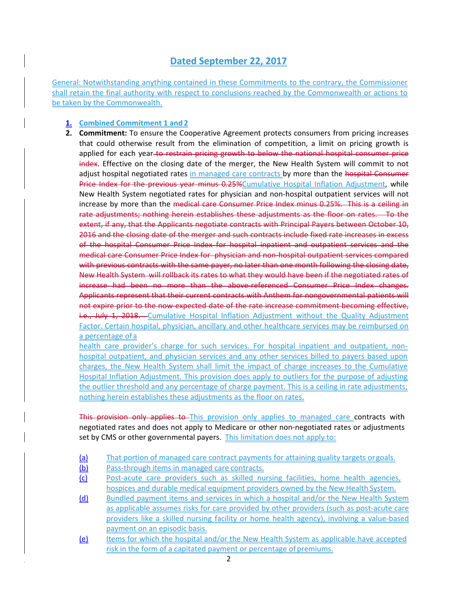# **Dated September 22, 2017**

General: Notwithstanding anything contained in these Commitments to the contrary, the Commissioner shall retain the final authority with respect to conclusions reached by the Commonwealth or actions to be taken by the Commonwealth.

### **1. Combined Commitment 1 and 2**

**2. Commitment:** To ensure the Cooperative Agreement protects consumers from pricing increases that could otherwise result from the elimination of competition, a limit on pricing growth is applied for each year to restrain pricing growth to below the national hospital consumer price index. Effective on the closing date of the merger, the New Health System will commit to not adjust hospital negotiated rates in managed care contracts by more than the hospital Consumer Price Index for the previous year minus 0.25% Cumulative Hospital Inflation Adjustment, while New Health System negotiated rates for physician and non‐hospital outpatient services will not increase by more than the medical care Consumer Price Index minus 0.25%. This is a ceiling in rate adjustments; nothing herein establishes these adjustments as the floor on rates. To the extent, if any, that the Applicants negotiate contracts with Principal Payers between October 10, 2016 and the closing date of the merger and such contracts include fixed rate increases in excess of the hospital Consumer Price Index for hospital inpatient and outpatient services and the medical care Consumer Price Index for physician and non-hospital outpatient services compared with previous contracts with the same payer, no later than one month following the closing date, New Health System will rollback its rates to what they would have been if the negotiated rates of increase had been no more than the above-referenced Consumer Price Index changes. Applicants represent that their current contracts with Anthem for nongovernmental patients will not expire prior to the now expected date of the rate increase commitment becoming effective, i.e., July 1, 2018. Cumulative Hospital Inflation Adjustment without the Quality Adjustment Factor. Certain hospital, physician, ancillary and other healthcare services may be reimbursed on a percentage of a

health care provider's charge for such services. For hospital inpatient and outpatient, nonhospital outpatient, and physician services and any other services billed to payers based upon charges, the New Health System shall limit the impact of charge increases to the Cumulative Hospital Inflation Adjustment. This provision does apply to outliers for the purpose of adjusting the outlier threshold and any percentage of charge payment. This is a ceiling in rate adjustments; nothing herein establishes these adjustments as the floor on rates.

This provision only applies to This provision only applies to managed care contracts with negotiated rates and does not apply to Medicare or other non‐negotiated rates or adjustments set by CMS or other governmental payers. This limitation does not apply to:

- (a) That portion of managed care contract payments for attaining quality targets or goals.
- (b) Pass-through items in managed care contracts.
- (c) Post‐acute care providers such as skilled nursing facilities, home health agencies, hospices and durable medical equipment providers owned by the New Health System.
- (d) Bundled payment items and services in which a hospital and/or the New Health System as applicable assumes risks for care provided by other providers (such as post‐acute care providers like a skilled nursing facility or home health agency), involving a value‐based payment on an episodic basis.
- (e) Items for which the hospital and/or the New Health System as applicable have accepted risk in the form of a capitated payment or percentage of premiums.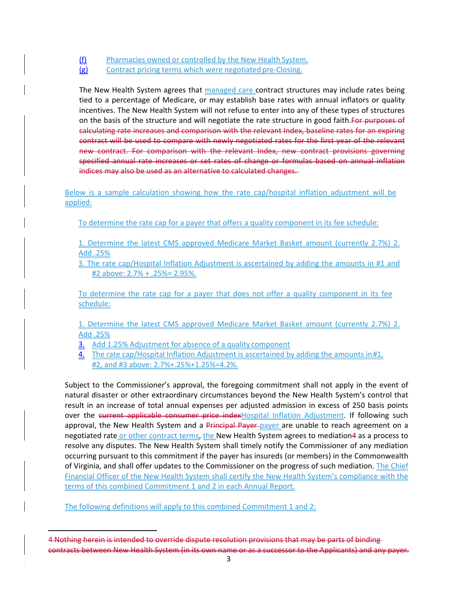- (f) Pharmacies owned or controlled by the New Health System.
- (g) Contract pricing terms which were negotiated pre‐Closing.

The New Health System agrees that managed care contract structures may include rates being tied to a percentage of Medicare, or may establish base rates with annual inflators or quality incentives. The New Health System will not refuse to enter into any of these types of structures on the basis of the structure and will negotiate the rate structure in good faith. For purposes of calculating rate increases and comparison with the relevant Index, baseline rates for an expiring contract will be used to compare with newly negotiated rates for the first year of the relevant new contract. For comparison with the relevant Index, new contract provisions governing specified annual rate increases or set rates of change or formulas based on annual inflation indices may also be used as an alternative to calculated changes.

Below is a sample calculation showing how the rate cap/hospital inflation adjustment will be applied:

To determine the rate cap for a payer that offers a quality component in its fee schedule:

1. Determine the latest CMS approved Medicare Market Basket amount (currently 2.7%) 2. Add .25%

3. The rate cap/Hospital Inflation Adjustment is ascertained by adding the amounts in #1 and #2 above: 2.7% + .25%= 2.95%.

To determine the rate cap for a payer that does not offer a quality component in its fee schedule:

1. Determine the latest CMS approved Medicare Market Basket amount (currently 2.7%) 2. Add .25%

- 3. Add 1.25% Adjustment for absence of a quality component
- 4. The rate cap/Hospital Inflation Adjustment is ascertained by adding the amounts in#1, #2, and #3 above: 2.7%+.25%+1.25%=4.2%.

Subject to the Commissioner's approval, the foregoing commitment shall not apply in the event of natural disaster or other extraordinary circumstances beyond the New Health System's control that result in an increase of total annual expenses per adjusted admission in excess of 250 basis points over the current applicable consumer price indexHospital Inflation Adjustment. If following such approval, the New Health System and a Principal Payer payer are unable to reach agreement on a negotiated rate or other contract terms, the New Health System agrees to mediation4 as a process to resolve any disputes. The New Health System shall timely notify the Commissioner of any mediation occurring pursuant to this commitment if the payer has insureds (or members) in the Commonwealth of Virginia, and shall offer updates to the Commissioner on the progress of such mediation. The Chief Financial Officer of the New Health System shall certify the New Health System's compliance with the terms of this combined Commitment 1 and 2 in each Annual Report.

The following definitions will apply to this combined Commitment 1 and 2:

<sup>4</sup> Nothing herein is intended to override dispute resolution provisions that may be parts of binding contracts between New Health System (in its own name or as a successor to the Applicants) and any payer.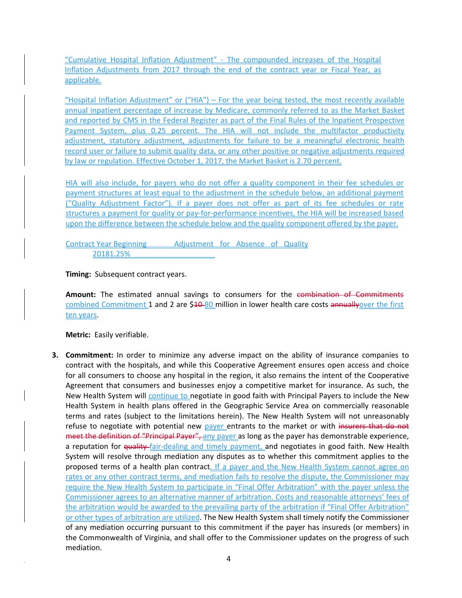"Cumulative Hospital Inflation Adjustment" ‐ The compounded increases of the Hospital Inflation Adjustments from 2017 through the end of the contract year or Fiscal Year, as applicable.

"Hospital Inflation Adjustment" or ("HIA") – For the year being tested, the most recently available annual inpatient percentage of increase by Medicare, commonly referred to as the Market Basket and reported by CMS in the Federal Register as part of the Final Rules of the Inpatient Prospective Payment System, plus 0.25 percent. The HIA will not include the multifactor productivity adjustment, statutory adjustment, adjustments for failure to be a meaningful electronic health record user or failure to submit quality data, or any other positive or negative adjustments required by law or regulation. Effective October 1, 2017, the Market Basket is 2.70 percent.

HIA will also include, for payers who do not offer a quality component in their fee schedules or payment structures at least equal to the adjustment in the schedule below, an additional payment ("Quality Adjustment Factor"). If a payer does not offer as part of its fee schedules or rate structures a payment for quality or pay-for-performance incentives, the HIA will be increased based upon the difference between the schedule below and the quality component offered by the payer.

Contract Year Beginning Adjustment for Absence of Quality 20181.25%

**Timing:** Subsequent contract years.

Amount: The estimated annual savings to consumers for the combination of Commitments combined Commitment 1 and 2 are \$40-80 million in lower health care costs annuallyover the first ten years.

**Metric:** Easily verifiable.

**3. Commitment:** In order to minimize any adverse impact on the ability of insurance companies to contract with the hospitals, and while this Cooperative Agreement ensures open access and choice for all consumers to choose any hospital in the region, it also remains the intent of the Cooperative Agreement that consumers and businesses enjoy a competitive market for insurance. As such, the New Health System will continue to negotiate in good faith with Principal Payers to include the New Health System in health plans offered in the Geographic Service Area on commercially reasonable terms and rates (subject to the limitations herein). The New Health System will not unreasonably refuse to negotiate with potential new payer entrants to the market or with insurers that do not meet the definition of "Principal Payer", any payer as long as the payer has demonstrable experience, a reputation for quality-fair-dealing and timely payment, and negotiates in good faith. New Health System will resolve through mediation any disputes as to whether this commitment applies to the proposed terms of a health plan contract. If a payer and the New Health System cannot agree on rates or any other contract terms, and mediation fails to resolve the dispute, the Commissioner may require the New Health System to participate in "Final Offer Arbitration" with the payer unless the Commissioner agrees to an alternative manner of arbitration. Costs and reasonable attorneys' fees of the arbitration would be awarded to the prevailing party of the arbitration if "Final Offer Arbitration" or other types of arbitration are utilized. The New Health System shall timely notify the Commissioner of any mediation occurring pursuant to this commitment if the payer has insureds (or members) in the Commonwealth of Virginia, and shall offer to the Commissioner updates on the progress of such mediation.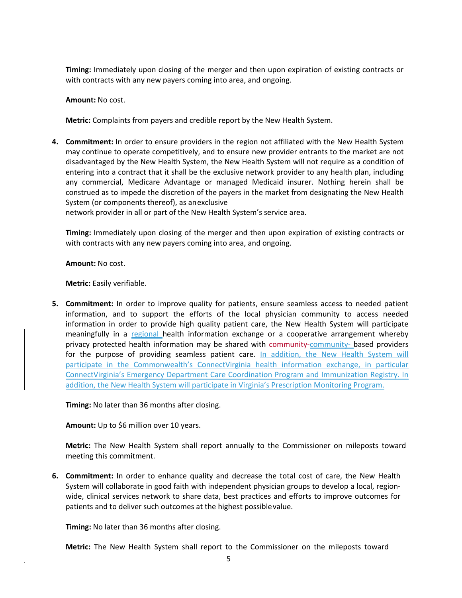**Timing:** Immediately upon closing of the merger and then upon expiration of existing contracts or with contracts with any new payers coming into area, and ongoing.

**Amount:** No cost.

**Metric:** Complaints from payers and credible report by the New Health System.

**4. Commitment:** In order to ensure providers in the region not affiliated with the New Health System may continue to operate competitively, and to ensure new provider entrants to the market are not disadvantaged by the New Health System, the New Health System will not require as a condition of entering into a contract that it shall be the exclusive network provider to any health plan, including any commercial, Medicare Advantage or managed Medicaid insurer. Nothing herein shall be construed as to impede the discretion of the payers in the market from designating the New Health System (or components thereof), as anexclusive

network provider in all or part of the New Health System's service area.

**Timing:** Immediately upon closing of the merger and then upon expiration of existing contracts or with contracts with any new payers coming into area, and ongoing.

**Amount:** No cost.

**Metric:** Easily verifiable.

**5. Commitment:** In order to improve quality for patients, ensure seamless access to needed patient information, and to support the efforts of the local physician community to access needed information in order to provide high quality patient care, the New Health System will participate meaningfully in a regional health information exchange or a cooperative arrangement whereby privacy protected health information may be shared with community–community– based providers for the purpose of providing seamless patient care. In addition, the New Health System will participate in the Commonwealth's ConnectVirginia health information exchange, in particular ConnectVirginia's Emergency Department Care Coordination Program and Immunization Registry. In addition, the New Health System will participate in Virginia's Prescription Monitoring Program.

**Timing:** No later than 36 months after closing.

**Amount:** Up to \$6 million over 10 years.

**Metric:** The New Health System shall report annually to the Commissioner on mileposts toward meeting this commitment.

**6. Commitment:** In order to enhance quality and decrease the total cost of care, the New Health System will collaborate in good faith with independent physician groups to develop a local, region‐ wide, clinical services network to share data, best practices and efforts to improve outcomes for patients and to deliver such outcomes at the highest possiblevalue.

**Timing:** No later than 36 months after closing.

**Metric:** The New Health System shall report to the Commissioner on the mileposts toward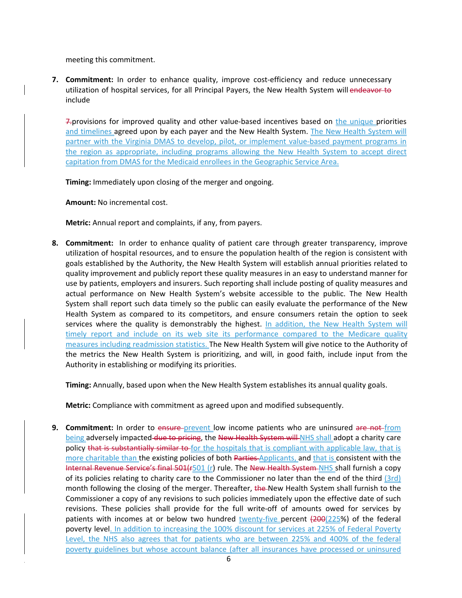meeting this commitment.

**7. Commitment:** In order to enhance quality, improve cost-efficiency and reduce unnecessary utilization of hospital services, for all Principal Payers, the New Health System will endeavor to include

7. provisions for improved quality and other value-based incentives based on the unique priorities and timelines agreed upon by each payer and the New Health System. The New Health System will partner with the Virginia DMAS to develop, pilot, or implement value-based payment programs in the region as appropriate, including programs allowing the New Health System to accept direct capitation from DMAS for the Medicaid enrollees in the Geographic Service Area.

**Timing:** Immediately upon closing of the merger and ongoing.

**Amount:** No incremental cost.

**Metric:** Annual report and complaints, if any, from payers.

**8. Commitment:** In order to enhance quality of patient care through greater transparency, improve utilization of hospital resources, and to ensure the population health of the region is consistent with goals established by the Authority, the New Health System will establish annual priorities related to quality improvement and publicly report these quality measures in an easy to understand manner for use by patients, employers and insurers. Such reporting shall include posting of quality measures and actual performance on New Health System's website accessible to the public. The New Health System shall report such data timely so the public can easily evaluate the performance of the New Health System as compared to its competitors, and ensure consumers retain the option to seek services where the quality is demonstrably the highest. In addition, the New Health System will timely report and include on its web site its performance compared to the Medicare quality measures including readmission statistics. The New Health System will give notice to the Authority of the metrics the New Health System is prioritizing, and will, in good faith, include input from the Authority in establishing or modifying its priorities.

**Timing:** Annually, based upon when the New Health System establishes its annual quality goals.

**Metric:** Compliance with commitment as agreed upon and modified subsequently.

**9. Commitment:** In order to ensure prevent low income patients who are uninsured are not from being adversely impacted due to pricing, the New Health System will NHS shall adopt a charity care policy that is substantially similar to for the hospitals that is compliant with applicable law, that is more charitable than the existing policies of both Parties Applicants, and that is consistent with the Internal Revenue Service's final 501(r501 (r) rule. The New Health System NHS shall furnish a copy of its policies relating to charity care to the Commissioner no later than the end of the third (3rd) month following the closing of the merger. Thereafter, the New Health System shall furnish to the Commissioner a copy of any revisions to such policies immediately upon the effective date of such revisions. These policies shall provide for the full write-off of amounts owed for services by patients with incomes at or below two hundred twenty-five percent (200(225%) of the federal poverty level. In addition to increasing the 100% discount for services at 225% of Federal Poverty Level, the NHS also agrees that for patients who are between 225% and 400% of the federal poverty guidelines but whose account balance (after all insurances have processed or uninsured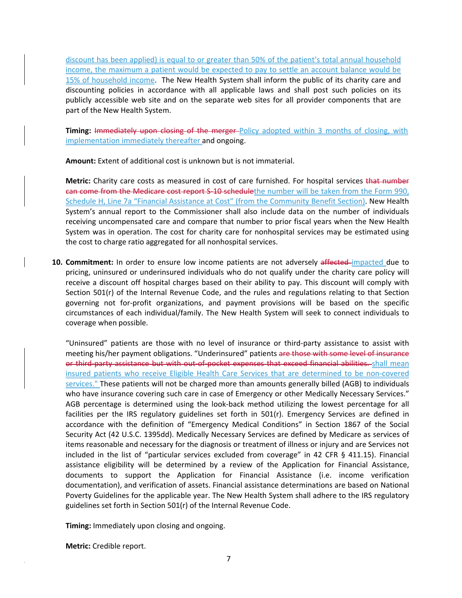discount has been applied) is equal to or greater than 50% of the patient's total annual household income, the maximum a patient would be expected to pay to settle an account balance would be 15% of household income. The New Health System shall inform the public of its charity care and discounting policies in accordance with all applicable laws and shall post such policies on its publicly accessible web site and on the separate web sites for all provider components that are part of the New Health System.

**Timing:** Immediately upon closing of the merger-Policy adopted within 3 months of closing, with implementation immediately thereafter and ongoing.

**Amount:** Extent of additional cost is unknown but is not immaterial.

**Metric:** Charity care costs as measured in cost of care furnished. For hospital services that number can come from the Medicare cost report S-10 schedulethe number will be taken from the Form 990, Schedule H, Line 7a "Financial Assistance at Cost" (from the Community Benefit Section). New Health System's annual report to the Commissioner shall also include data on the number of individuals receiving uncompensated care and compare that number to prior fiscal years when the New Health System was in operation. The cost for charity care for nonhospital services may be estimated using the cost to charge ratio aggregated for all nonhospital services.

**10. Commitment:** In order to ensure low income patients are not adversely affected impacted due to pricing, uninsured or underinsured individuals who do not qualify under the charity care policy will receive a discount off hospital charges based on their ability to pay. This discount will comply with Section 501(r) of the Internal Revenue Code, and the rules and regulations relating to that Section governing not for‐profit organizations, and payment provisions will be based on the specific circumstances of each individual/family. The New Health System will seek to connect individuals to coverage when possible.

"Uninsured" patients are those with no level of insurance or third‐party assistance to assist with meeting his/her payment obligations. "Underinsured" patients are those with some level of insurance or third-party assistance but with out-of-pocket expenses that exceed financial abilities. shall mean insured patients who receive Eligible Health Care Services that are determined to be non‐covered services." These patients will not be charged more than amounts generally billed (AGB) to individuals who have insurance covering such care in case of Emergency or other Medically Necessary Services." AGB percentage is determined using the look‐back method utilizing the lowest percentage for all facilities per the IRS regulatory guidelines set forth in 501(r). Emergency Services are defined in accordance with the definition of "Emergency Medical Conditions" in Section 1867 of the Social Security Act (42 U.S.C. 1395dd). Medically Necessary Services are defined by Medicare as services of items reasonable and necessary for the diagnosis or treatment of illness or injury and are Services not included in the list of "particular services excluded from coverage" in 42 CFR § 411.15). Financial assistance eligibility will be determined by a review of the Application for Financial Assistance, documents to support the Application for Financial Assistance (i.e. income verification documentation), and verification of assets. Financial assistance determinations are based on National Poverty Guidelines for the applicable year. The New Health System shall adhere to the IRS regulatory guidelines set forth in Section 501(r) of the Internal Revenue Code.

**Timing:** Immediately upon closing and ongoing.

**Metric:** Credible report.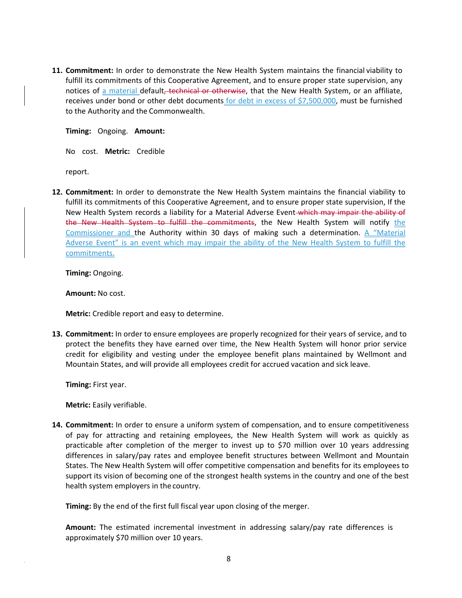**11. Commitment:** In order to demonstrate the New Health System maintains the financial viability to fulfill its commitments of this Cooperative Agreement, and to ensure proper state supervision, any notices of a material default, technical or otherwise, that the New Health System, or an affiliate, receives under bond or other debt documents for debt in excess of \$7,500,000, must be furnished to the Authority and the Commonwealth.

**Timing:** Ongoing. **Amount:**

No cost. **Metric:** Credible

report.

**12. Commitment:** In order to demonstrate the New Health System maintains the financial viability to fulfill its commitments of this Cooperative Agreement, and to ensure proper state supervision, If the New Health System records a liability for a Material Adverse Event-which may impair the ability of the New Health System to fulfill the commitments, the New Health System will notify the Commissioner and the Authority within 30 days of making such a determination. A "Material Adverse Event" is an event which may impair the ability of the New Health System to fulfill the commitments.

**Timing:** Ongoing.

**Amount:** No cost.

**Metric:** Credible report and easy to determine.

**13. Commitment:** In order to ensure employees are properly recognized for their years of service, and to protect the benefits they have earned over time, the New Health System will honor prior service credit for eligibility and vesting under the employee benefit plans maintained by Wellmont and Mountain States, and will provide all employees credit for accrued vacation and sick leave.

**Timing:** First year.

**Metric:** Easily verifiable.

**14. Commitment:** In order to ensure a uniform system of compensation, and to ensure competitiveness of pay for attracting and retaining employees, the New Health System will work as quickly as practicable after completion of the merger to invest up to \$70 million over 10 years addressing differences in salary/pay rates and employee benefit structures between Wellmont and Mountain States. The New Health System will offer competitive compensation and benefits for its employees to support its vision of becoming one of the strongest health systems in the country and one of the best health system employers in the country.

**Timing:** By the end of the first full fiscal year upon closing of the merger.

**Amount:** The estimated incremental investment in addressing salary/pay rate differences is approximately \$70 million over 10 years.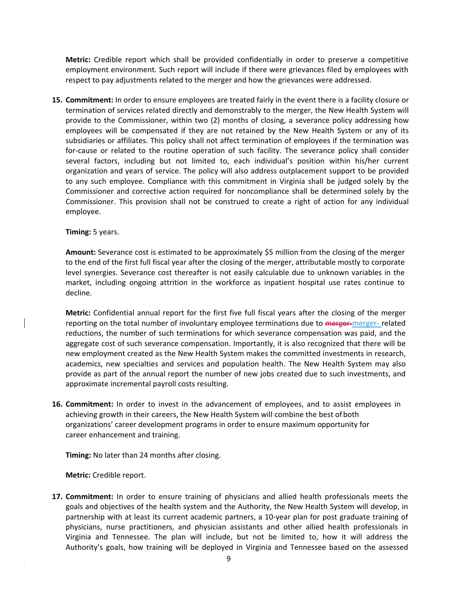**Metric:** Credible report which shall be provided confidentially in order to preserve a competitive employment environment. Such report will include if there were grievances filed by employees with respect to pay adjustments related to the merger and how the grievances were addressed.

**15. Commitment:** In order to ensure employees are treated fairly in the event there is a facility closure or termination of services related directly and demonstrably to the merger, the New Health System will provide to the Commissioner, within two (2) months of closing, a severance policy addressing how employees will be compensated if they are not retained by the New Health System or any of its subsidiaries or affiliates. This policy shall not affect termination of employees if the termination was for-cause or related to the routine operation of such facility. The severance policy shall consider several factors, including but not limited to, each individual's position within his/her current organization and years of service. The policy will also address outplacement support to be provided to any such employee. Compliance with this commitment in Virginia shall be judged solely by the Commissioner and corrective action required for noncompliance shall be determined solely by the Commissioner. This provision shall not be construed to create a right of action for any individual employee.

#### **Timing:** 5 years.

**Amount:** Severance cost is estimated to be approximately \$5 million from the closing of the merger to the end of the first full fiscal year after the closing of the merger, attributable mostly to corporate level synergies. Severance cost thereafter is not easily calculable due to unknown variables in the market, including ongoing attrition in the workforce as inpatient hospital use rates continue to decline.

**Metric:** Confidential annual report for the first five full fiscal years after the closing of the merger reporting on the total number of involuntary employee terminations due to merger-merger-related reductions, the number of such terminations for which severance compensation was paid, and the aggregate cost of such severance compensation. Importantly, it is also recognized that there will be new employment created as the New Health System makes the committed investments in research, academics, new specialties and services and population health. The New Health System may also provide as part of the annual report the number of new jobs created due to such investments, and approximate incremental payroll costs resulting.

**16. Commitment:** In order to invest in the advancement of employees, and to assist employees in achieving growth in their careers, the New Health System will combine the best ofboth organizations' career development programs in order to ensure maximum opportunity for career enhancement and training.

**Timing:** No later than 24 months after closing.

**Metric:** Credible report.

**17. Commitment:** In order to ensure training of physicians and allied health professionals meets the goals and objectives of the health system and the Authority, the New Health System will develop, in partnership with at least its current academic partners, a 10‐year plan for post graduate training of physicians, nurse practitioners, and physician assistants and other allied health professionals in Virginia and Tennessee. The plan will include, but not be limited to, how it will address the Authority's goals, how training will be deployed in Virginia and Tennessee based on the assessed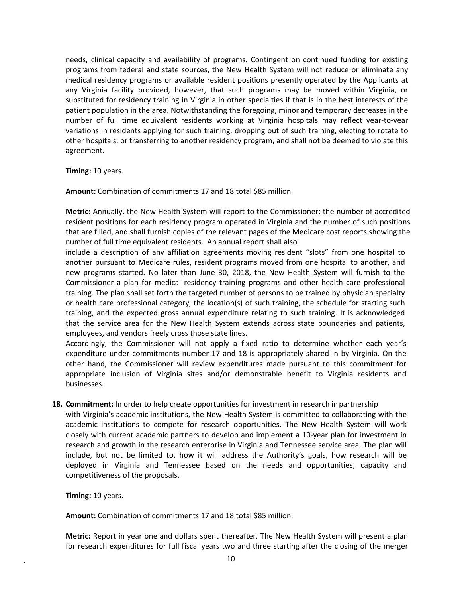needs, clinical capacity and availability of programs. Contingent on continued funding for existing programs from federal and state sources, the New Health System will not reduce or eliminate any medical residency programs or available resident positions presently operated by the Applicants at any Virginia facility provided, however, that such programs may be moved within Virginia, or substituted for residency training in Virginia in other specialties if that is in the best interests of the patient population in the area. Notwithstanding the foregoing, minor and temporary decreases in the number of full time equivalent residents working at Virginia hospitals may reflect year‐to‐year variations in residents applying for such training, dropping out of such training, electing to rotate to other hospitals, or transferring to another residency program, and shall not be deemed to violate this agreement.

**Timing:** 10 years.

**Amount:** Combination of commitments 17 and 18 total \$85 million.

**Metric:** Annually, the New Health System will report to the Commissioner: the number of accredited resident positions for each residency program operated in Virginia and the number of such positions that are filled, and shall furnish copies of the relevant pages of the Medicare cost reports showing the number of full time equivalent residents. An annual report shall also

include a description of any affiliation agreements moving resident "slots" from one hospital to another pursuant to Medicare rules, resident programs moved from one hospital to another, and new programs started. No later than June 30, 2018, the New Health System will furnish to the Commissioner a plan for medical residency training programs and other health care professional training. The plan shall set forth the targeted number of persons to be trained by physician specialty or health care professional category, the location(s) of such training, the schedule for starting such training, and the expected gross annual expenditure relating to such training. It is acknowledged that the service area for the New Health System extends across state boundaries and patients, employees, and vendors freely cross those state lines.

Accordingly, the Commissioner will not apply a fixed ratio to determine whether each year's expenditure under commitments number 17 and 18 is appropriately shared in by Virginia. On the other hand, the Commissioner will review expenditures made pursuant to this commitment for appropriate inclusion of Virginia sites and/or demonstrable benefit to Virginia residents and businesses.

**18. Commitment:** In order to help create opportunities for investment in research inpartnership

with Virginia's academic institutions, the New Health System is committed to collaborating with the academic institutions to compete for research opportunities. The New Health System will work closely with current academic partners to develop and implement a 10‐year plan for investment in research and growth in the research enterprise in Virginia and Tennessee service area. The plan will include, but not be limited to, how it will address the Authority's goals, how research will be deployed in Virginia and Tennessee based on the needs and opportunities, capacity and competitiveness of the proposals.

**Timing:** 10 years.

**Amount:** Combination of commitments 17 and 18 total \$85 million.

**Metric:** Report in year one and dollars spent thereafter. The New Health System will present a plan for research expenditures for full fiscal years two and three starting after the closing of the merger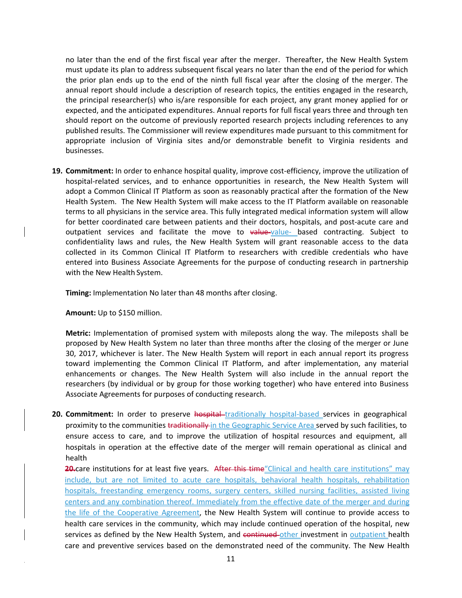no later than the end of the first fiscal year after the merger. Thereafter, the New Health System must update its plan to address subsequent fiscal years no later than the end of the period for which the prior plan ends up to the end of the ninth full fiscal year after the closing of the merger. The annual report should include a description of research topics, the entities engaged in the research, the principal researcher(s) who is/are responsible for each project, any grant money applied for or expected, and the anticipated expenditures. Annual reports for full fiscal years three and through ten should report on the outcome of previously reported research projects including references to any published results. The Commissioner will review expenditures made pursuant to this commitment for appropriate inclusion of Virginia sites and/or demonstrable benefit to Virginia residents and businesses.

19. **Commitment:** In order to enhance hospital quality, improve cost-efficiency, improve the utilization of hospital-related services, and to enhance opportunities in research, the New Health System will adopt a Common Clinical IT Platform as soon as reasonably practical after the formation of the New Health System. The New Health System will make access to the IT Platform available on reasonable terms to all physicians in the service area. This fully integrated medical information system will allow for better coordinated care between patients and their doctors, hospitals, and post-acute care and outpatient services and facilitate the move to value-value- based contracting. Subject to confidentiality laws and rules, the New Health System will grant reasonable access to the data collected in its Common Clinical IT Platform to researchers with credible credentials who have entered into Business Associate Agreements for the purpose of conducting research in partnership with the New Health System.

**Timing:** Implementation No later than 48 months after closing.

**Amount:** Up to \$150 million.

**Metric:** Implementation of promised system with mileposts along the way. The mileposts shall be proposed by New Health System no later than three months after the closing of the merger or June 30, 2017, whichever is later. The New Health System will report in each annual report its progress toward implementing the Common Clinical IT Platform, and after implementation, any material enhancements or changes. The New Health System will also include in the annual report the researchers (by individual or by group for those working together) who have entered into Business Associate Agreements for purposes of conducting research.

**20. Commitment:** In order to preserve hospital traditionally hospital-based services in geographical proximity to the communities traditionally in the Geographic Service Area served by such facilities, to ensure access to care, and to improve the utilization of hospital resources and equipment, all hospitals in operation at the effective date of the merger will remain operational as clinical and health

**20.**care institutions for at least five years. After this time "Clinical and health care institutions" may include, but are not limited to acute care hospitals, behavioral health hospitals, rehabilitation hospitals, freestanding emergency rooms, surgery centers, skilled nursing facilities, assisted living centers and any combination thereof. Immediately from the effective date of the merger and during the life of the Cooperative Agreement, the New Health System will continue to provide access to health care services in the community, which may include continued operation of the hospital, new services as defined by the New Health System, and continued other investment in outpatient health care and preventive services based on the demonstrated need of the community. The New Health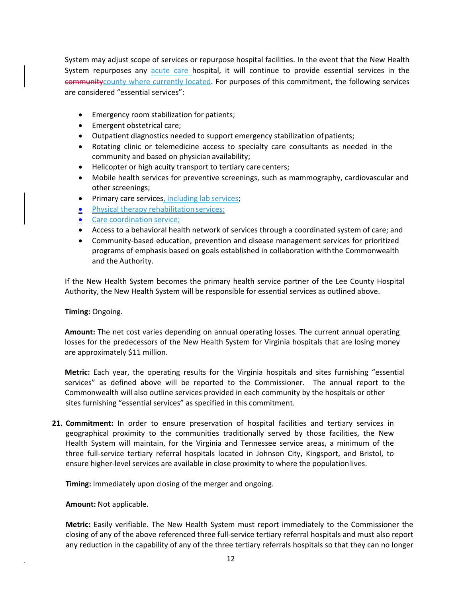System may adjust scope of services or repurpose hospital facilities. In the event that the New Health System repurposes any acute care hospital, it will continue to provide essential services in the communitycounty where currently located. For purposes of this commitment, the following services are considered "essential services":

- **•** Emergency room stabilization for patients;
- Emergent obstetrical care;
- Outpatient diagnostics needed to support emergency stabilization ofpatients;
- Rotating clinic or telemedicine access to specialty care consultants as needed in the community and based on physician availability;
- Helicopter or high acuity transport to tertiary care centers;
- Mobile health services for preventive screenings, such as mammography, cardiovascular and other screenings;
- **•** Primary care services, including lab services;
- Physical therapy rehabilitation services;
- **e** Care coordination service;
- Access to a behavioral health network of services through a coordinated system of care; and
- Community‐based education, prevention and disease management services for prioritized programs of emphasis based on goals established in collaboration withthe Commonwealth and the Authority.

If the New Health System becomes the primary health service partner of the Lee County Hospital Authority, the New Health System will be responsible for essential services as outlined above.

#### **Timing:** Ongoing.

**Amount:** The net cost varies depending on annual operating losses. The current annual operating losses for the predecessors of the New Health System for Virginia hospitals that are losing money are approximately \$11 million.

**Metric:** Each year, the operating results for the Virginia hospitals and sites furnishing "essential services" as defined above will be reported to the Commissioner. The annual report to the Commonwealth will also outline services provided in each community by the hospitals or other sites furnishing "essential services" as specified in this commitment.

**21. Commitment:** In order to ensure preservation of hospital facilities and tertiary services in geographical proximity to the communities traditionally served by those facilities, the New Health System will maintain, for the Virginia and Tennessee service areas, a minimum of the three full‐service tertiary referral hospitals located in Johnson City, Kingsport, and Bristol, to ensure higher-level services are available in close proximity to where the population lives.

**Timing:** Immediately upon closing of the merger and ongoing.

**Amount:** Not applicable.

**Metric:** Easily verifiable. The New Health System must report immediately to the Commissioner the closing of any of the above referenced three full‐service tertiary referral hospitals and must also report any reduction in the capability of any of the three tertiary referrals hospitals so that they can no longer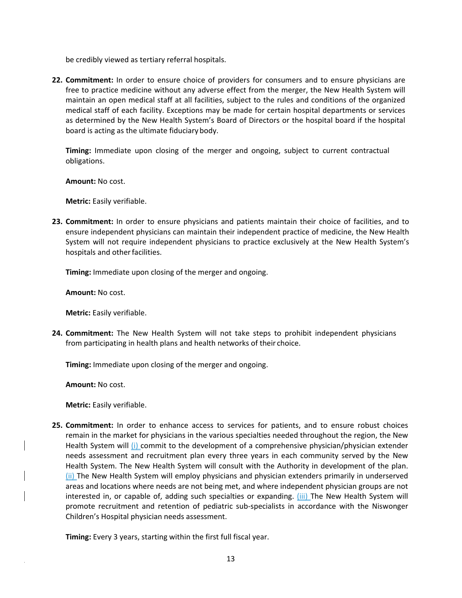be credibly viewed as tertiary referral hospitals.

**22. Commitment:** In order to ensure choice of providers for consumers and to ensure physicians are free to practice medicine without any adverse effect from the merger, the New Health System will maintain an open medical staff at all facilities, subject to the rules and conditions of the organized medical staff of each facility. Exceptions may be made for certain hospital departments or services as determined by the New Health System's Board of Directors or the hospital board if the hospital board is acting as the ultimate fiduciary body.

**Timing:** Immediate upon closing of the merger and ongoing, subject to current contractual obligations.

**Amount:** No cost.

**Metric:** Easily verifiable.

**23. Commitment:** In order to ensure physicians and patients maintain their choice of facilities, and to ensure independent physicians can maintain their independent practice of medicine, the New Health System will not require independent physicians to practice exclusively at the New Health System's hospitals and other facilities.

**Timing:** Immediate upon closing of the merger and ongoing.

**Amount:** No cost.

**Metric:** Easily verifiable.

**24. Commitment:** The New Health System will not take steps to prohibit independent physicians from participating in health plans and health networks of their choice.

**Timing:** Immediate upon closing of the merger and ongoing.

**Amount:** No cost.

**Metric:** Easily verifiable.

**25. Commitment:** In order to enhance access to services for patients, and to ensure robust choices remain in the market for physicians in the various specialties needed throughout the region, the New Health System will (i) commit to the development of a comprehensive physician/physician extender needs assessment and recruitment plan every three years in each community served by the New Health System. The New Health System will consult with the Authority in development of the plan. (ii) The New Health System will employ physicians and physician extenders primarily in underserved areas and locations where needs are not being met, and where independent physician groups are not interested in, or capable of, adding such specialties or expanding. (iii) The New Health System will promote recruitment and retention of pediatric sub-specialists in accordance with the Niswonger Children's Hospital physician needs assessment.

**Timing:** Every 3 years, starting within the first full fiscal year.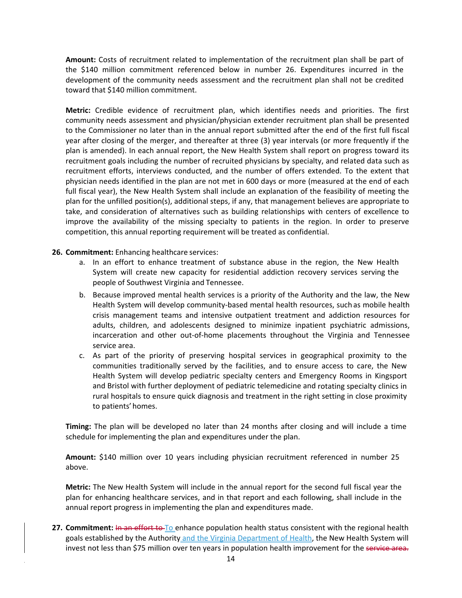**Amount:** Costs of recruitment related to implementation of the recruitment plan shall be part of the \$140 million commitment referenced below in number 26. Expenditures incurred in the development of the community needs assessment and the recruitment plan shall not be credited toward that \$140 million commitment.

**Metric:** Credible evidence of recruitment plan, which identifies needs and priorities. The first community needs assessment and physician/physician extender recruitment plan shall be presented to the Commissioner no later than in the annual report submitted after the end of the first full fiscal year after closing of the merger, and thereafter at three (3) year intervals (or more frequently if the plan is amended). In each annual report, the New Health System shall report on progress toward its recruitment goals including the number of recruited physicians by specialty, and related data such as recruitment efforts, interviews conducted, and the number of offers extended. To the extent that physician needs identified in the plan are not met in 600 days or more (measured at the end of each full fiscal year), the New Health System shall include an explanation of the feasibility of meeting the plan for the unfilled position(s), additional steps, if any, that management believes are appropriate to take, and consideration of alternatives such as building relationships with centers of excellence to improve the availability of the missing specialty to patients in the region. In order to preserve competition, this annual reporting requirement will be treated as confidential.

#### **26. Commitment:** Enhancing healthcare services:

- a. In an effort to enhance treatment of substance abuse in the region, the New Health System will create new capacity for residential addiction recovery services serving the people of Southwest Virginia and Tennessee.
- b. Because improved mental health services is a priority of the Authority and the law, the New Health System will develop community‐based mental health resources, such as mobile health crisis management teams and intensive outpatient treatment and addiction resources for adults, children, and adolescents designed to minimize inpatient psychiatric admissions, incarceration and other out‐of‐home placements throughout the Virginia and Tennessee service area.
- c. As part of the priority of preserving hospital services in geographical proximity to the communities traditionally served by the facilities, and to ensure access to care, the New Health System will develop pediatric specialty centers and Emergency Rooms in Kingsport and Bristol with further deployment of pediatric telemedicine and rotating specialty clinics in rural hospitals to ensure quick diagnosis and treatment in the right setting in close proximity to patients' homes.

**Timing:** The plan will be developed no later than 24 months after closing and will include a time schedule for implementing the plan and expenditures under the plan.

**Amount:** \$140 million over 10 years including physician recruitment referenced in number 25 above.

**Metric:** The New Health System will include in the annual report for the second full fiscal year the plan for enhancing healthcare services, and in that report and each following, shall include in the annual report progress in implementing the plan and expenditures made.

**27. Commitment:** In an effort to To enhance population health status consistent with the regional health goals established by the Authority and the Virginia Department of Health, the New Health System will invest not less than \$75 million over ten years in population health improvement for the service area.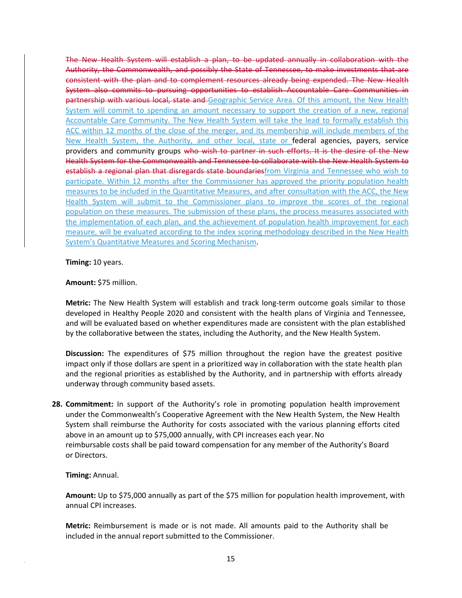The New Health System will establish a plan, to be updated annually in collaboration with the Authority, the Commonwealth, and possibly the State of Tennessee, to make investments that are consistent with the plan and to complement resources already being expended. The New Health System also commits to pursuing opportunities to establish Accountable Care Communities in partnership with various local, state and Geographic Service Area. Of this amount, the New Health System will commit to spending an amount necessary to support the creation of a new, regional Accountable Care Community. The New Health System will take the lead to formally establish this ACC within 12 months of the close of the merger, and its membership will include members of the New Health System, the Authority, and other local, state or federal agencies, payers, service providers and community groups who wish to partner in such efforts. It is the desire of the New Health System for the Commonwealth and Tennessee to collaborate with the New Health System to establish a regional plan that disregards state boundaries from Virginia and Tennessee who wish to participate. Within 12 months after the Commissioner has approved the priority population health measures to be included in the Quantitative Measures, and after consultation with the ACC, the New Health System will submit to the Commissioner plans to improve the scores of the regional population on these measures. The submission of these plans, the process measures associated with the implementation of each plan, and the achievement of population health improvement for each measure, will be evaluated according to the index scoring methodology described in the New Health System's Quantitative Measures and Scoring Mechanism.

**Timing:** 10 years.

#### **Amount:** \$75 million.

**Metric:** The New Health System will establish and track long‐term outcome goals similar to those developed in Healthy People 2020 and consistent with the health plans of Virginia and Tennessee, and will be evaluated based on whether expenditures made are consistent with the plan established by the collaborative between the states, including the Authority, and the New Health System.

**Discussion:** The expenditures of \$75 million throughout the region have the greatest positive impact only if those dollars are spent in a prioritized way in collaboration with the state health plan and the regional priorities as established by the Authority, and in partnership with efforts already underway through community based assets.

**28. Commitment:** In support of the Authority's role in promoting population health improvement under the Commonwealth's Cooperative Agreement with the New Health System, the New Health System shall reimburse the Authority for costs associated with the various planning efforts cited above in an amount up to \$75,000 annually, with CPI increases each year.No reimbursable costs shall be paid toward compensation for any member of the Authority's Board or Directors.

#### **Timing:** Annual.

**Amount:** Up to \$75,000 annually as part of the \$75 million for population health improvement, with annual CPI increases.

**Metric:** Reimbursement is made or is not made. All amounts paid to the Authority shall be included in the annual report submitted to the Commissioner.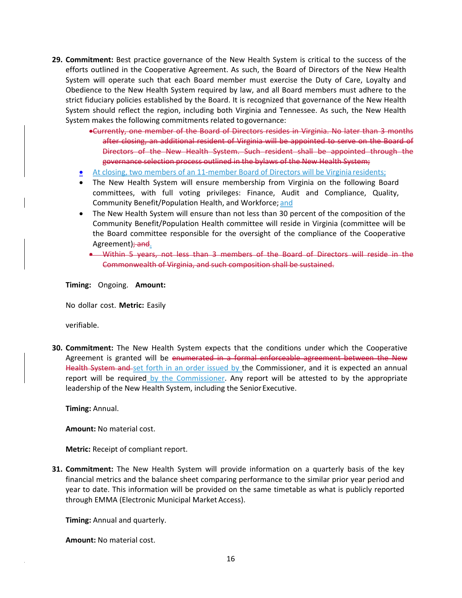- **29. Commitment:** Best practice governance of the New Health System is critical to the success of the efforts outlined in the Cooperative Agreement. As such, the Board of Directors of the New Health System will operate such that each Board member must exercise the Duty of Care, Loyalty and Obedience to the New Health System required by law, and all Board members must adhere to the strict fiduciary policies established by the Board. It is recognized that governance of the New Health System should reflect the region, including both Virginia and Tennessee. As such, the New Health System makes the following commitments related togovernance:
	- Currently, one member of the Board of Directors resides in Virginia. No later than 3 months after closing, an additional resident of Virginia will be appointed to serve on the Board of Directors of the New Health System. Such resident shall be appointed through the governance selection process outlined in the bylaws of the New Health System;
	- <u>● At closing, two members of an 11-member Board of Directors will be Virginia residents</u>;
	- The New Health System will ensure membership from Virginia on the following Board committees, with full voting privileges: Finance, Audit and Compliance, Quality, Community Benefit/Population Health, and Workforce; and
	- The New Health System will ensure than not less than 30 percent of the composition of the Community Benefit/Population Health committee will reside in Virginia (committee will be the Board committee responsible for the oversight of the compliance of the Cooperative Agreement); and.
		- Within 5 years, not less than 3 members of the Board of Directors will reside in the Commonwealth of Virginia, and such composition shall be sustained.

**Timing:** Ongoing. **Amount:**

No dollar cost. **Metric:** Easily

verifiable.

**30. Commitment:** The New Health System expects that the conditions under which the Cooperative Agreement is granted will be enumerated in a formal enforceable agreement between the New Health System and set forth in an order issued by the Commissioner, and it is expected an annual report will be required by the Commissioner. Any report will be attested to by the appropriate leadership of the New Health System, including the Senior Executive.

**Timing:** Annual.

**Amount:** No material cost.

**Metric:** Receipt of compliant report.

**31. Commitment:** The New Health System will provide information on a quarterly basis of the key financial metrics and the balance sheet comparing performance to the similar prior year period and year to date. This information will be provided on the same timetable as what is publicly reported through EMMA (Electronic Municipal Market Access).

**Timing:** Annual and quarterly.

**Amount:** No material cost.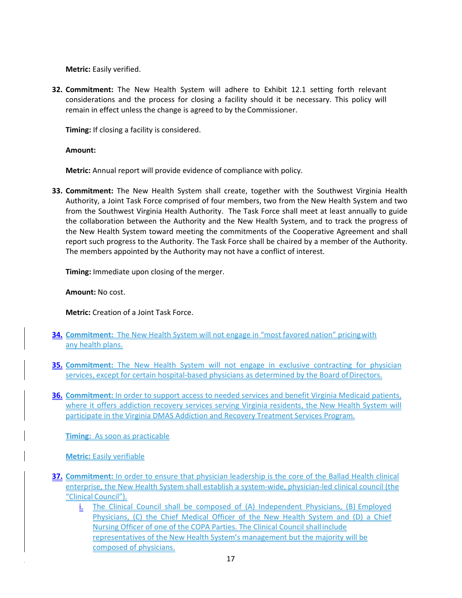**Metric:** Easily verified.

**32. Commitment:** The New Health System will adhere to Exhibit 12.1 setting forth relevant considerations and the process for closing a facility should it be necessary. This policy will remain in effect unless the change is agreed to by the Commissioner.

**Timing:** If closing a facility is considered.

**Amount:**

**Metric:** Annual report will provide evidence of compliance with policy.

**33. Commitment:** The New Health System shall create, together with the Southwest Virginia Health Authority, a Joint Task Force comprised of four members, two from the New Health System and two from the Southwest Virginia Health Authority. The Task Force shall meet at least annually to guide the collaboration between the Authority and the New Health System, and to track the progress of the New Health System toward meeting the commitments of the Cooperative Agreement and shall report such progress to the Authority. The Task Force shall be chaired by a member of the Authority. The members appointed by the Authority may not have a conflict of interest.

**Timing:** Immediate upon closing of the merger.

**Amount:** No cost.

**Metric:** Creation of a Joint Task Force.

- **34. Commitment:** The New Health System will not engage in "most favored nation" pricing with any health plans.
- **35. Commitment:** The New Health System will not engage in exclusive contracting for physician services, except for certain hospital-based physicians as determined by the Board of Directors.
- **36. Commitment:** In order to support access to needed services and benefit Virginia Medicaid patients, where it offers addiction recovery services serving Virginia residents, the New Health System will participate in the Virginia DMAS Addiction and Recovery Treatment Services Program.

**Timing:** As soon as practicable

**Metric:** Easily verifiable

- **37. Commitment:** In order to ensure that physician leadership is the core of the Ballad Health clinical enterprise, the New Health System shall establish a system-wide, physician-led clinical council (the "Clinical Council").
	- i. The Clinical Council shall be composed of (A) Independent Physicians, (B) Employed Physicians, (C) the Chief Medical Officer of the New Health System and (D) a Chief Nursing Officer of one of the COPA Parties. The Clinical Council shall include representatives of the New Health System's management but the majority will be composed of physicians.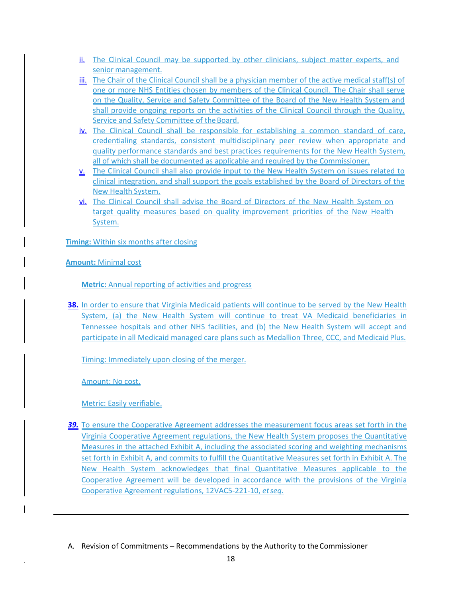- ii. The Clinical Council may be supported by other clinicians, subject matter experts, and senior management.
- iii. The Chair of the Clinical Council shall be a physician member of the active medical staff(s) of one or more NHS Entities chosen by members of the Clinical Council. The Chair shall serve on the Quality, Service and Safety Committee of the Board of the New Health System and shall provide ongoing reports on the activities of the Clinical Council through the Quality, Service and Safety Committee of the Board.
- iv. The Clinical Council shall be responsible for establishing a common standard of care, credentialing standards, consistent multidisciplinary peer review when appropriate and quality performance standards and best practices requirements for the New Health System, all of which shall be documented as applicable and required by the Commissioner.
- v. The Clinical Council shall also provide input to the New Health System on issues related to clinical integration, and shall support the goals established by the Board of Directors of the New Health System.
- vi. The Clinical Council shall advise the Board of Directors of the New Health System on target quality measures based on quality improvement priorities of the New Health System.

**Timing:** Within six months after closing

**Amount:** Minimal cost

**Metric:** Annual reporting of activities and progress

**38.** In order to ensure that Virginia Medicaid patients will continue to be served by the New Health System, (a) the New Health System will continue to treat VA Medicaid beneficiaries in Tennessee hospitals and other NHS facilities, and (b) the New Health System will accept and participate in all Medicaid managed care plans such as Medallion Three, CCC, and Medicaid Plus.

Timing: Immediately upon closing of the merger.

Amount: No cost.

Metric: Easily verifiable.

- **39.** To ensure the Cooperative Agreement addresses the measurement focus areas set forth in the Virginia Cooperative Agreement regulations, the New Health System proposes the Quantitative Measures in the attached Exhibit A, including the associated scoring and weighting mechanisms set forth in Exhibit A, and commits to fulfill the Quantitative Measures set forth in Exhibit A. The New Health System acknowledges that final Quantitative Measures applicable to the Cooperative Agreement will be developed in accordance with the provisions of the Virginia Cooperative Agreement regulations, 12VAC5‐221‐10, *etseq.*
- A. Revision of Commitments Recommendations by the Authority to theCommissioner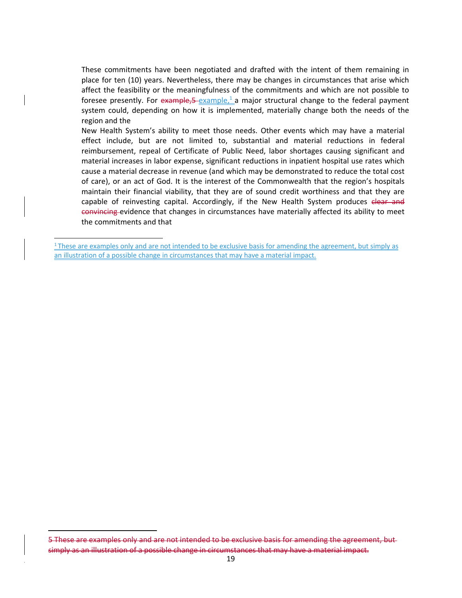These commitments have been negotiated and drafted with the intent of them remaining in place for ten (10) years. Nevertheless, there may be changes in circumstances that arise which affect the feasibility or the meaningfulness of the commitments and which are not possible to foresee presently. For  $example, 5-example, 1 a major structural change to the federal payment$ system could, depending on how it is implemented, materially change both the needs of the region and the

New Health System's ability to meet those needs. Other events which may have a material effect include, but are not limited to, substantial and material reductions in federal reimbursement, repeal of Certificate of Public Need, labor shortages causing significant and material increases in labor expense, significant reductions in inpatient hospital use rates which cause a material decrease in revenue (and which may be demonstrated to reduce the total cost of care), or an act of God. It is the interest of the Commonwealth that the region's hospitals maintain their financial viability, that they are of sound credit worthiness and that they are capable of reinvesting capital. Accordingly, if the New Health System produces elear and convincing evidence that changes in circumstances have materially affected its ability to meet the commitments and that

 $1$ <sup>1</sup> These are examples only and are not intended to be exclusive basis for amending the agreement, but simply as an illustration of a possible change in circumstances that may have a material impact.

<sup>5</sup> These are examples only and are not intended to be exclusive basis for amending the agreement, but simply as an illustration of a possible change in circumstances that may have a material impact.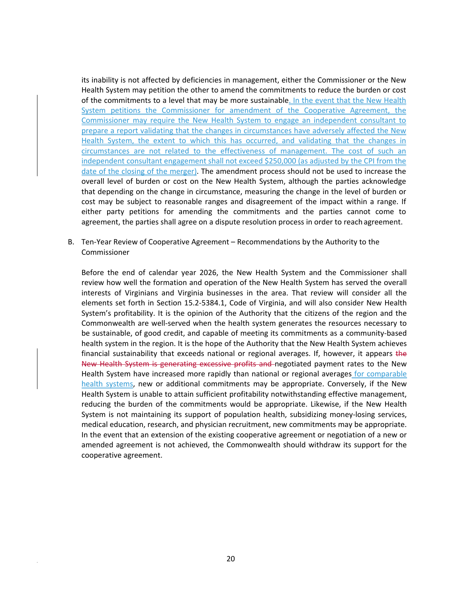its inability is not affected by deficiencies in management, either the Commissioner or the New Health System may petition the other to amend the commitments to reduce the burden or cost of the commitments to a level that may be more sustainable. In the event that the New Health System petitions the Commissioner for amendment of the Cooperative Agreement, the Commissioner may require the New Health System to engage an independent consultant to prepare a report validating that the changes in circumstances have adversely affected the New Health System, the extent to which this has occurred, and validating that the changes in circumstances are not related to the effectiveness of management. The cost of such an independent consultant engagement shall not exceed \$250,000 (as adjusted by the CPI from the date of the closing of the merger). The amendment process should not be used to increase the overall level of burden or cost on the New Health System, although the parties acknowledge that depending on the change in circumstance, measuring the change in the level of burden or cost may be subject to reasonable ranges and disagreement of the impact within a range. If either party petitions for amending the commitments and the parties cannot come to agreement, the parties shall agree on a dispute resolution process in order to reach agreement.

B. Ten‐Year Review of Cooperative Agreement – Recommendations by the Authority to the Commissioner

Before the end of calendar year 2026, the New Health System and the Commissioner shall review how well the formation and operation of the New Health System has served the overall interests of Virginians and Virginia businesses in the area. That review will consider all the elements set forth in Section 15.2‐5384.1, Code of Virginia, and will also consider New Health System's profitability. It is the opinion of the Authority that the citizens of the region and the Commonwealth are well‐served when the health system generates the resources necessary to be sustainable, of good credit, and capable of meeting its commitments as a community-based health system in the region. It is the hope of the Authority that the New Health System achieves financial sustainability that exceeds national or regional averages. If, however, it appears the New Health System is generating excessive profits and negotiated payment rates to the New Health System have increased more rapidly than national or regional averages for comparable health systems, new or additional commitments may be appropriate. Conversely, if the New Health System is unable to attain sufficient profitability notwithstanding effective management, reducing the burden of the commitments would be appropriate. Likewise, if the New Health System is not maintaining its support of population health, subsidizing money-losing services, medical education, research, and physician recruitment, new commitments may be appropriate. In the event that an extension of the existing cooperative agreement or negotiation of a new or amended agreement is not achieved, the Commonwealth should withdraw its support for the cooperative agreement.